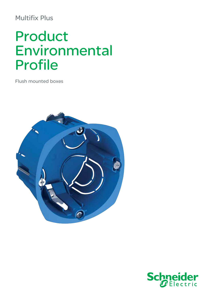## **Multifix Plus**

# Product Environmental Profile

**Flush mounted boxes** 



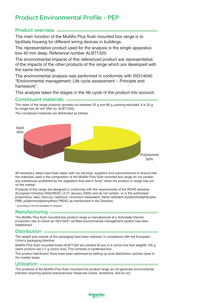### Product Environmental Profile - PEP

#### Product overview

The main function of the Multifix Plus flush mounted box range is to facilitate housing for different wiring devices in buildings.

The representative product used for the analysis is the single apparatus box 40 mm deep. Reference number ALB71320.

The environmental impacts of this referenced product are representative of the impacts of the other products of the range which are developed with the same technology.

The environmental analysis was performed in conformity with ISO14040 "Environmental management: Life cycle assessment – Principle and framework".

This analysis takes the stages in the life cycle of the product into account.

#### Constituent materials

The mass of the range products spreads out between 22 g and 86 g, packing excluded. It is 22 g for single box 40 mm (Ref no: ALB71320)

The constituent materials are distributed as follows:



All necessary steps have been taken with our services, suppliers and subcontractors to ensure that the materials used in the composition of the Multifix Plus flush mounted box range do not contain any substances prohibited by the legislation that was in force\* when the product or range was put on the market.

Products of this range are designed in conformity with the requirements of the ROHS directive (European Directive 2002/95/EC of 27 January 2003) and do not contain, or in the authorised proportions, lead, mercury, cadmium, chromium hexavalent, flame retardant (polybromobiphenyles PBB, polybromodiphenylthers PBDE) as mentionned in the Directive.

\* according to the list available on request.

#### **Manufacturing**

The Multifix Plus flush mounted box product range is manufactured at a Schneider Electric production site on which an ISO14001 certified environmental management system has been established.

#### Distribution **i**

The weight and volume of the packaging have been reduced, in compliance with the European Union's packaging directive.

Multifix Plus flush mounted boxes ALB71320 are packed 50 pcs in a carton box that weights 105 g (each product use 2.1 g carton box). This consists of cardboard box.

The product distribution flows have been optimised by setting up local distribution centres close to the market areas.

#### Utilization

The products of the Multifix Plus flush mounted box product range do not generate environmental pollution requiring special precautionary measures (noise, emissions, and so on).

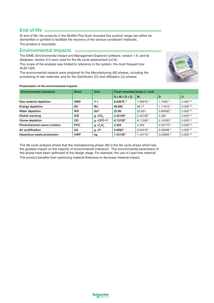#### End of life

At end of life, the products in the Multifix Plus flush mounted box product range can either be dismantled or grinded to facilitate the recovery of the various constituent materials. The product is recyclable.

#### Environmental impacts

The EIME (Environmental Impact and Management Explorer) software, version 1.6, and its database, version 5.0 were used for the life cycle assessment (LCA).

The scope of the analysis was limited to reference in the system, the most frequent box: ALB71320.

The environmental impacts were analysed for the Manufacturing (M) phases, including the processing of raw materials, and for the Distribution (D) and Utilisation (U) phases.



| <b>Environmental indicators</b>     | <b>Short</b> | <b>Unit</b>      | Flush mounted boxes (1 unit) |                       |                       |               |
|-------------------------------------|--------------|------------------|------------------------------|-----------------------|-----------------------|---------------|
|                                     |              |                  | $S = M + D + U$              | <b>M</b>              | D                     | U             |
| Raw material depletion              | <b>RMD</b>   | $Y-1$            | 8.0067E-17                   | 7.9897E-17            | 1.706E-19             | $0.00E^{+00}$ |
| <b>Energy depletion</b>             | ED           | ΜJ               | 86.882                       | 86.77                 | 1.1181E <sup>-1</sup> | $0.00E^{+00}$ |
| <b>Water depletion</b>              | <b>WD</b>    | dm <sup>3</sup>  | 22.96                        | 22.901                | $5.8906E^{-2}$        | $0.00E^{+00}$ |
| Global warming                      | <b>GW</b>    | $g \sim CO$      | 5.4316E <sup>3</sup>         | $5.4273E^3$           | 4.384                 | $0.00E^{+00}$ |
| Ozone depletion                     | <b>OD</b>    | $g \sim$ CFC-11  | 8.1373E <sup>-4</sup>        | 8.1159E <sup>-4</sup> | $2.1453E^{-6}$        | $0.00E^{+00}$ |
| <b>Photochemical ozone creation</b> | <b>POC</b>   | $g \sim C_2 H_a$ | 2.209                        | 2.205                 | $4.0371E^{-3}$        | $0.00E^{+00}$ |
| Air acidification                   | AA           | $q \sim H^+$     | $9.5092^{-1}$                | $9.5001E^{-1}$        | 9.0559E <sup>-4</sup> | $0.00E^{+00}$ |
| Hazardous waste production          | <b>HWP</b>   | kg               | 7.4314E <sup>-2</sup>        | 7.4311E <sup>-2</sup> | $3.2086E^{-6}$        | $0.00E^{+00}$ |

The life cycle analysis shows that the manufacturing phase (M) is the life cycle phase which has the greatest impact on the majority of environmental indicators . The environmental parameters of this phase have been optimized at the design stage. For example, the use of Lead free material. The product benefits from optimizing material thickness to decrease material impact.